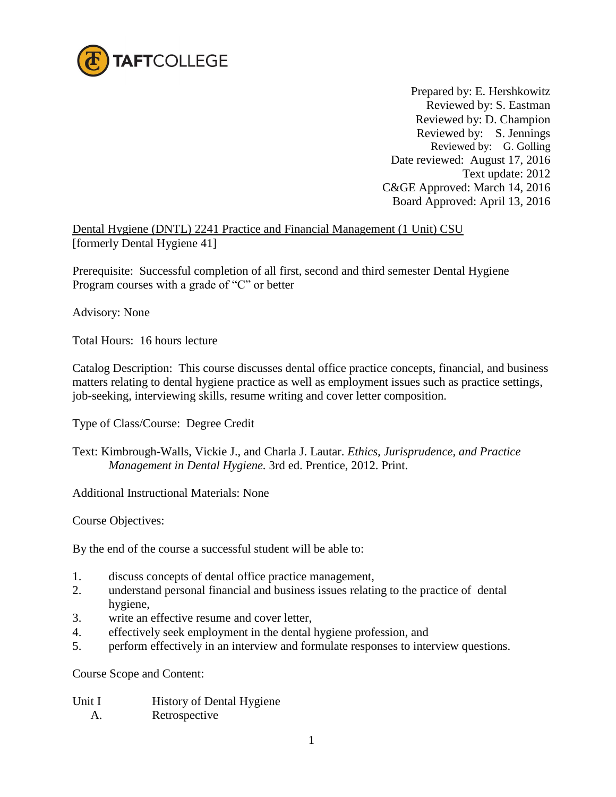

Prepared by: E. Hershkowitz Reviewed by: S. Eastman Reviewed by: D. Champion Reviewed by: S. Jennings Reviewed by: G. Golling Date reviewed: August 17, 2016 Text update: 2012 C&GE Approved: March 14, 2016 Board Approved: April 13, 2016

Dental Hygiene (DNTL) 2241 Practice and Financial Management (1 Unit) CSU [formerly Dental Hygiene 41]

Prerequisite: Successful completion of all first, second and third semester Dental Hygiene Program courses with a grade of "C" or better

Advisory: None

Total Hours: 16 hours lecture

Catalog Description: This course discusses dental office practice concepts, financial, and business matters relating to dental hygiene practice as well as employment issues such as practice settings, job-seeking, interviewing skills, resume writing and cover letter composition.

Type of Class/Course: Degree Credit

## Text: Kimbrough**-**Walls, Vickie J., and Charla J. Lautar. *Ethics, Jurisprudence, and Practice Management in Dental Hygiene.* 3rd ed. Prentice, 2012. Print.

Additional Instructional Materials: None

Course Objectives:

By the end of the course a successful student will be able to:

- 1. discuss concepts of dental office practice management,
- 2. understand personal financial and business issues relating to the practice of dental hygiene,
- 3. write an effective resume and cover letter,
- 4. effectively seek employment in the dental hygiene profession, and
- 5. perform effectively in an interview and formulate responses to interview questions.

Course Scope and Content:

| Unit I | <b>History of Dental Hygiene</b> |
|--------|----------------------------------|
| Α.     | Retrospective                    |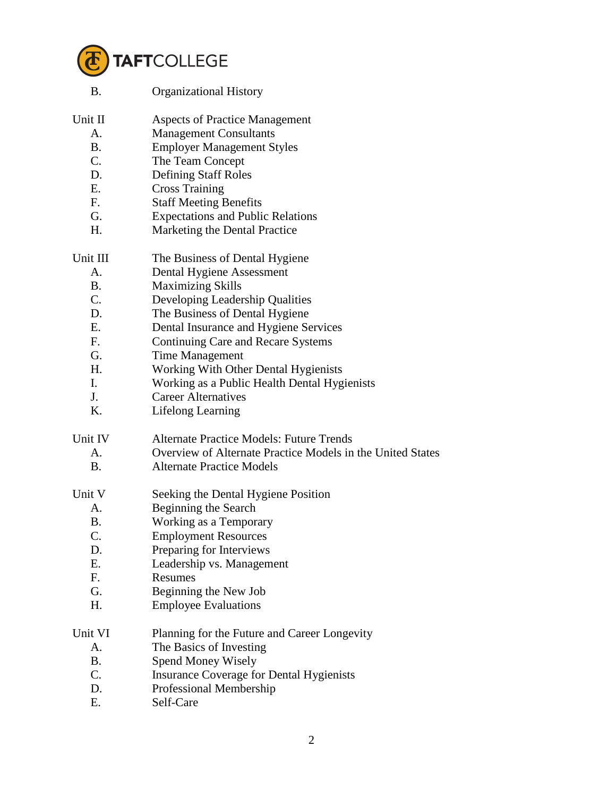

| <b>B.</b>       | <b>Organizational History</b>                              |
|-----------------|------------------------------------------------------------|
| Unit II         | <b>Aspects of Practice Management</b>                      |
| A.              | <b>Management Consultants</b>                              |
| <b>B.</b>       | <b>Employer Management Styles</b>                          |
| C.              | The Team Concept                                           |
| D.              | <b>Defining Staff Roles</b>                                |
| E.              | <b>Cross Training</b>                                      |
| F.              | <b>Staff Meeting Benefits</b>                              |
| G.              | <b>Expectations and Public Relations</b>                   |
| H.              | Marketing the Dental Practice                              |
| Unit III        | The Business of Dental Hygiene                             |
| A.              | Dental Hygiene Assessment                                  |
| <b>B.</b>       | <b>Maximizing Skills</b>                                   |
| $\mathcal{C}$ . | Developing Leadership Qualities                            |
| D.              | The Business of Dental Hygiene                             |
| Ε.              | Dental Insurance and Hygiene Services                      |
| F.              | <b>Continuing Care and Recare Systems</b>                  |
| G.              | Time Management                                            |
| Η.              | Working With Other Dental Hygienists                       |
| I.              | Working as a Public Health Dental Hygienists               |
| J.              | <b>Career Alternatives</b>                                 |
| K.              | Lifelong Learning                                          |
| Unit IV         | <b>Alternate Practice Models: Future Trends</b>            |
| A.              | Overview of Alternate Practice Models in the United States |
| <b>B.</b>       | <b>Alternate Practice Models</b>                           |
| Unit V          | Seeking the Dental Hygiene Position                        |
| A.              | Beginning the Search                                       |
| <b>B.</b>       | Working as a Temporary                                     |
| C.              | <b>Employment Resources</b>                                |
| D.              | Preparing for Interviews                                   |
| Ε.              | Leadership vs. Management                                  |
| F.              | <b>Resumes</b>                                             |
| G.              | Beginning the New Job                                      |
| Η.              | <b>Employee Evaluations</b>                                |
| Unit VI         | Planning for the Future and Career Longevity               |
| A.              | The Basics of Investing                                    |
| <b>B.</b>       | Spend Money Wisely                                         |
| C.              | <b>Insurance Coverage for Dental Hygienists</b>            |
| D.              | Professional Membership                                    |

E. Self-Care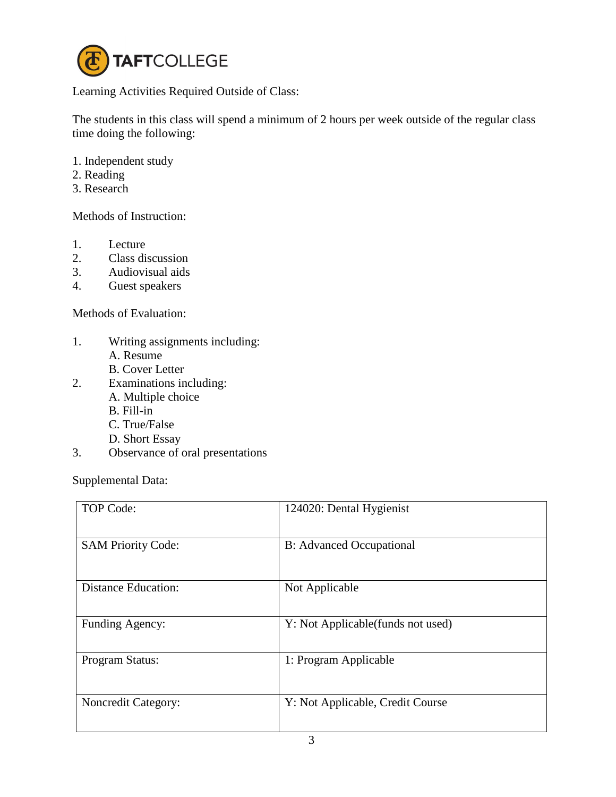

Learning Activities Required Outside of Class:

The students in this class will spend a minimum of 2 hours per week outside of the regular class time doing the following:

- 1. Independent study
- 2. Reading
- 3. Research

Methods of Instruction:

- 1. Lecture
- 2. Class discussion
- 3. Audiovisual aids
- 4. Guest speakers

Methods of Evaluation:

- 1. Writing assignments including:
	- A. Resume
	- B. Cover Letter
- 2. Examinations including:
	- A. Multiple choice
	- B. Fill-in
	- C. True/False
	- D. Short Essay
- 3. Observance of oral presentations

Supplemental Data:

| <b>TOP Code:</b>           | 124020: Dental Hygienist          |
|----------------------------|-----------------------------------|
| <b>SAM Priority Code:</b>  | <b>B:</b> Advanced Occupational   |
| <b>Distance Education:</b> | Not Applicable                    |
| Funding Agency:            | Y: Not Applicable(funds not used) |
| Program Status:            | 1: Program Applicable             |
| <b>Noncredit Category:</b> | Y: Not Applicable, Credit Course  |